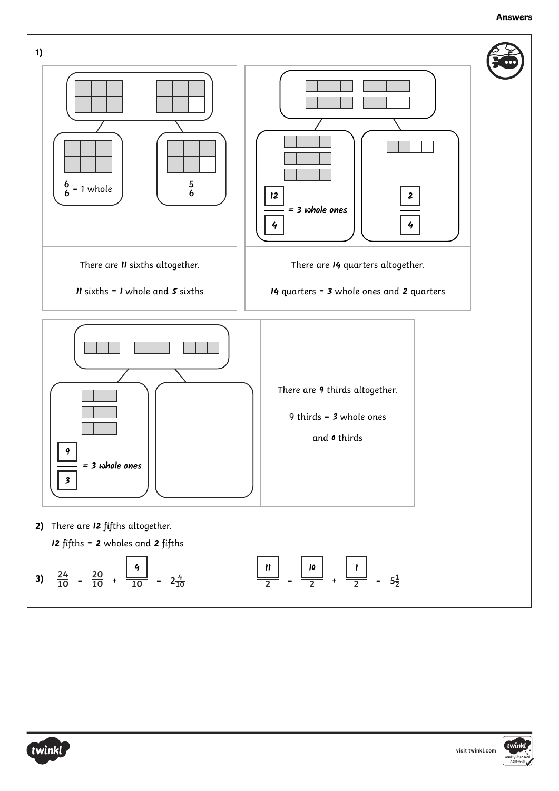